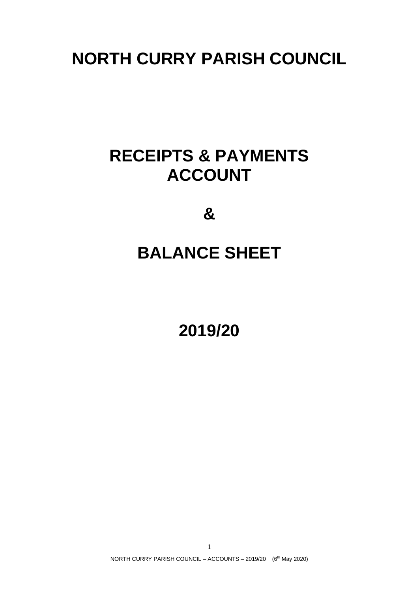# **NORTH CURRY PARISH COUNCIL**

# **RECEIPTS & PAYMENTS ACCOUNT**

**&**

## **BALANCE SHEET**

**2019/20**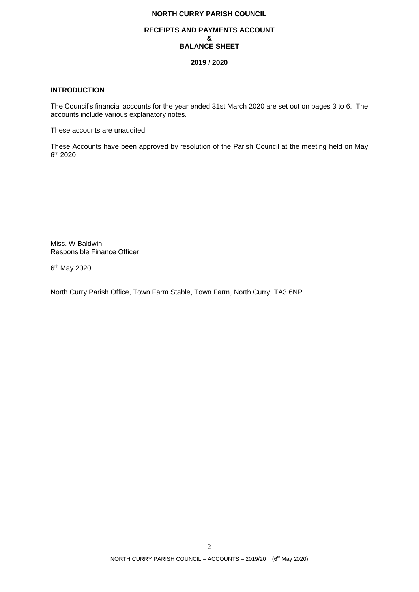## **NORTH CURRY PARISH COUNCIL**

#### **RECEIPTS AND PAYMENTS ACCOUNT & BALANCE SHEET**

#### **2019 / 2020**

## **INTRODUCTION**

The Council's financial accounts for the year ended 31st March 2020 are set out on pages 3 to 6. The accounts include various explanatory notes.

These accounts are unaudited.

These Accounts have been approved by resolution of the Parish Council at the meeting held on May 6 th 2020

Miss. W Baldwin Responsible Finance Officer

6<sup>th</sup> May 2020

North Curry Parish Office, Town Farm Stable, Town Farm, North Curry, TA3 6NP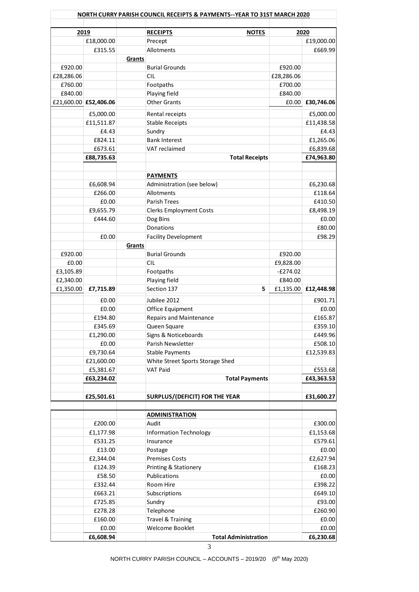|            |                       |        | NORTH CURRY PARISH COUNCIL RECEIPTS & PAYMENTS--YEAR TO 31ST MARCH 2020 |            |                       |
|------------|-----------------------|--------|-------------------------------------------------------------------------|------------|-----------------------|
|            | 2019                  |        | <b>RECEIPTS</b><br><b>NOTES</b>                                         |            | 2020                  |
|            | £18,000.00            |        | Precept                                                                 |            |                       |
|            |                       |        | Allotments                                                              |            | £19,000.00<br>£669.99 |
|            | £315.55               |        |                                                                         |            |                       |
|            |                       | Grants |                                                                         |            |                       |
| £920.00    |                       |        | <b>Burial Grounds</b>                                                   | £920.00    |                       |
| £28,286.06 |                       |        | <b>CIL</b>                                                              | £28,286.06 |                       |
| £760.00    |                       |        | Footpaths                                                               | £700.00    |                       |
| £840.00    |                       |        | Playing field                                                           | £840.00    |                       |
|            | £21,600.00 £52,406.06 |        | <b>Other Grants</b>                                                     | £0.00      | £30,746.06            |
|            | £5,000.00             |        | Rental receipts                                                         |            | £5,000.00             |
|            | £11,511.87            |        | <b>Stable Receipts</b>                                                  |            | £11,438.58            |
|            | £4.43                 |        | Sundry                                                                  |            | £4.43                 |
|            | £824.11               |        | <b>Bank Interest</b>                                                    |            | £1,265.06             |
|            | £673.61               |        | VAT reclaimed                                                           |            | £6,839.68             |
|            | £88,735.63            |        | <b>Total Receipts</b>                                                   |            | £74,963.80            |
|            |                       |        |                                                                         |            |                       |
|            |                       |        |                                                                         |            |                       |
|            |                       |        | <b>PAYMENTS</b>                                                         |            |                       |
|            | £6,608.94             |        | Administration (see below)                                              |            | £6,230.68             |
|            | £266.00               |        | Allotments                                                              |            | £118.64               |
|            | £0.00                 |        | Parish Trees                                                            |            | £410.50               |
|            | £9,655.79             |        | <b>Clerks Employment Costs</b>                                          |            | £8,498.19             |
|            | £444.60               |        | Dog Bins                                                                |            | £0.00                 |
|            |                       |        | Donations                                                               |            | £80.00                |
|            | £0.00                 |        | <b>Facility Development</b>                                             |            | £98.29                |
|            |                       | Grants |                                                                         |            |                       |
| £920.00    |                       |        | <b>Burial Grounds</b>                                                   | £920.00    |                       |
| £0.00      |                       |        | <b>CIL</b>                                                              | £9,828.00  |                       |
| £3,105.89  |                       |        | Footpaths                                                               | $-E274.02$ |                       |
| £2,340.00  |                       |        | Playing field                                                           | £840.00    |                       |
| £1,350.00  | £7,715.89             |        | Section 137<br>5                                                        | £1,135.00  | £12,448.98            |
|            | £0.00                 |        | Jubilee 2012                                                            |            | £901.71               |
|            | £0.00                 |        |                                                                         |            | £0.00                 |
|            | £194.80               |        | Office Equipment<br><b>Repairs and Maintenance</b>                      |            | £165.87               |
|            |                       |        |                                                                         |            |                       |
|            | £345.69               |        | Queen Square                                                            |            | £359.10               |
|            | £1,290.00             |        | Signs & Noticeboards                                                    |            | £449.96               |
|            | £0.00                 |        | Parish Newsletter                                                       |            | £508.10               |
|            | £9,730.64             |        | <b>Stable Payments</b>                                                  |            | £12,539.83            |
|            | £21,600.00            |        | White Street Sports Storage Shed                                        |            |                       |
|            | £5,381.67             |        | <b>VAT Paid</b>                                                         |            | £553.68               |
|            | £63,234.02            |        | <b>Total Payments</b>                                                   |            | £43,363.53            |
|            |                       |        |                                                                         |            |                       |
|            | £25,501.61            |        | <b>SURPLUS/(DEFICIT) FOR THE YEAR</b>                                   |            | £31,600.27            |
|            |                       |        |                                                                         |            |                       |
|            |                       |        | <b>ADMINISTRATION</b>                                                   |            |                       |
|            | £200.00               |        | Audit                                                                   |            | £300.00               |
|            | £1,177.98             |        | <b>Information Technology</b>                                           |            | £1,153.68             |
|            | £531.25               |        | Insurance                                                               |            | £579.61               |
|            | £13.00                |        | Postage                                                                 |            | £0.00                 |
|            | £2,344.04             |        | <b>Premises Costs</b>                                                   |            | £2,627.94             |
|            | £124.39               |        | Printing & Stationery                                                   |            | £168.23               |
|            | £58.50                |        | Publications                                                            |            | £0.00                 |
|            | £332.44               |        | Room Hire                                                               |            | £398.22               |
|            | £663.21               |        | Subscriptions                                                           |            | £649.10               |
|            | £725.85               |        | Sundry                                                                  |            | £93.00                |
|            |                       |        |                                                                         |            |                       |
|            | £278.28               |        | Telephone                                                               |            | £260.90               |
|            | £160.00               |        | <b>Travel &amp; Training</b>                                            |            | £0.00                 |
|            | £0.00                 |        | <b>Welcome Booklet</b>                                                  |            | £0.00                 |
|            | £6,608.94             |        | <b>Total Administration</b>                                             |            | £6,230.68             |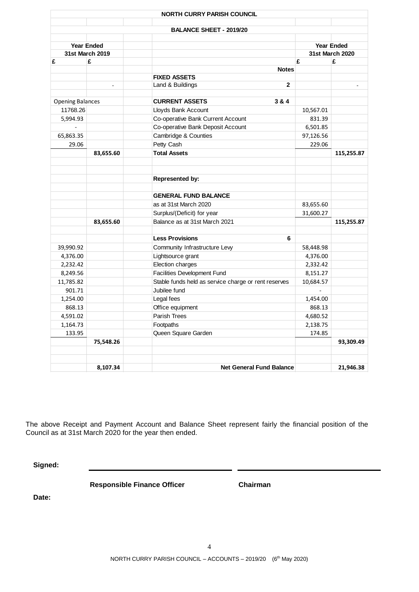| <b>BALANCE SHEET - 2019/20</b><br><b>Year Ended</b><br><b>Year Ended</b><br>31st March 2019<br>31st March 2020<br>£<br>£<br>£<br>£<br><b>Notes</b><br><b>FIXED ASSETS</b><br>Land & Buildings<br>$\mathbf{2}$<br>$\overline{a}$<br><b>CURRENT ASSETS</b><br>3 & 4<br><b>Opening Balances</b><br>11768.26<br>Lloyds Bank Account<br>10,567.01<br>Co-operative Bank Current Account<br>5,994.93<br>831.39<br>Co-operative Bank Deposit Account<br>$\overline{a}$<br>6,501.85<br>Cambridge & Counties<br>65,863.35<br>97,126.56<br>Petty Cash<br>29.06<br>229.06<br><b>Total Assets</b><br>83,655.60<br>Represented by:<br><b>GENERAL FUND BALANCE</b><br>as at 31st March 2020<br>83,655.60<br>Surplus/(Deficit) for year<br>31,600.27<br>Balance as at 31st March 2021<br>83,655.60<br><b>Less Provisions</b><br>6<br>Community Infrastructure Levy<br>39,990.92<br>58,448.98<br>Lightsource grant<br>4,376.00<br>4,376.00<br>Election charges<br>2,232.42<br>2,332.42<br><b>Facilities Development Fund</b><br>8,249.56<br>8,151.27<br>Stable funds held as service charge or rent reserves<br>11,785.82<br>10,684.57<br>Jubilee fund<br>901.71<br>Legal fees<br>1,254.00<br>1,454.00<br>Office equipment<br>868.13<br>868.13<br>Parish Trees<br>4,591.02<br>4,680.52<br>Footpaths<br>1,164.73<br>2,138.75<br>Queen Square Garden<br>133.95<br>174.85<br>75,548.26 |  |  |            |
|--------------------------------------------------------------------------------------------------------------------------------------------------------------------------------------------------------------------------------------------------------------------------------------------------------------------------------------------------------------------------------------------------------------------------------------------------------------------------------------------------------------------------------------------------------------------------------------------------------------------------------------------------------------------------------------------------------------------------------------------------------------------------------------------------------------------------------------------------------------------------------------------------------------------------------------------------------------------------------------------------------------------------------------------------------------------------------------------------------------------------------------------------------------------------------------------------------------------------------------------------------------------------------------------------------------------------------------------------------------------|--|--|------------|
|                                                                                                                                                                                                                                                                                                                                                                                                                                                                                                                                                                                                                                                                                                                                                                                                                                                                                                                                                                                                                                                                                                                                                                                                                                                                                                                                                                    |  |  |            |
|                                                                                                                                                                                                                                                                                                                                                                                                                                                                                                                                                                                                                                                                                                                                                                                                                                                                                                                                                                                                                                                                                                                                                                                                                                                                                                                                                                    |  |  |            |
|                                                                                                                                                                                                                                                                                                                                                                                                                                                                                                                                                                                                                                                                                                                                                                                                                                                                                                                                                                                                                                                                                                                                                                                                                                                                                                                                                                    |  |  |            |
|                                                                                                                                                                                                                                                                                                                                                                                                                                                                                                                                                                                                                                                                                                                                                                                                                                                                                                                                                                                                                                                                                                                                                                                                                                                                                                                                                                    |  |  |            |
|                                                                                                                                                                                                                                                                                                                                                                                                                                                                                                                                                                                                                                                                                                                                                                                                                                                                                                                                                                                                                                                                                                                                                                                                                                                                                                                                                                    |  |  |            |
|                                                                                                                                                                                                                                                                                                                                                                                                                                                                                                                                                                                                                                                                                                                                                                                                                                                                                                                                                                                                                                                                                                                                                                                                                                                                                                                                                                    |  |  |            |
|                                                                                                                                                                                                                                                                                                                                                                                                                                                                                                                                                                                                                                                                                                                                                                                                                                                                                                                                                                                                                                                                                                                                                                                                                                                                                                                                                                    |  |  |            |
|                                                                                                                                                                                                                                                                                                                                                                                                                                                                                                                                                                                                                                                                                                                                                                                                                                                                                                                                                                                                                                                                                                                                                                                                                                                                                                                                                                    |  |  |            |
|                                                                                                                                                                                                                                                                                                                                                                                                                                                                                                                                                                                                                                                                                                                                                                                                                                                                                                                                                                                                                                                                                                                                                                                                                                                                                                                                                                    |  |  |            |
|                                                                                                                                                                                                                                                                                                                                                                                                                                                                                                                                                                                                                                                                                                                                                                                                                                                                                                                                                                                                                                                                                                                                                                                                                                                                                                                                                                    |  |  |            |
|                                                                                                                                                                                                                                                                                                                                                                                                                                                                                                                                                                                                                                                                                                                                                                                                                                                                                                                                                                                                                                                                                                                                                                                                                                                                                                                                                                    |  |  |            |
|                                                                                                                                                                                                                                                                                                                                                                                                                                                                                                                                                                                                                                                                                                                                                                                                                                                                                                                                                                                                                                                                                                                                                                                                                                                                                                                                                                    |  |  |            |
|                                                                                                                                                                                                                                                                                                                                                                                                                                                                                                                                                                                                                                                                                                                                                                                                                                                                                                                                                                                                                                                                                                                                                                                                                                                                                                                                                                    |  |  |            |
|                                                                                                                                                                                                                                                                                                                                                                                                                                                                                                                                                                                                                                                                                                                                                                                                                                                                                                                                                                                                                                                                                                                                                                                                                                                                                                                                                                    |  |  | 115,255.87 |
|                                                                                                                                                                                                                                                                                                                                                                                                                                                                                                                                                                                                                                                                                                                                                                                                                                                                                                                                                                                                                                                                                                                                                                                                                                                                                                                                                                    |  |  |            |
|                                                                                                                                                                                                                                                                                                                                                                                                                                                                                                                                                                                                                                                                                                                                                                                                                                                                                                                                                                                                                                                                                                                                                                                                                                                                                                                                                                    |  |  |            |
|                                                                                                                                                                                                                                                                                                                                                                                                                                                                                                                                                                                                                                                                                                                                                                                                                                                                                                                                                                                                                                                                                                                                                                                                                                                                                                                                                                    |  |  |            |
|                                                                                                                                                                                                                                                                                                                                                                                                                                                                                                                                                                                                                                                                                                                                                                                                                                                                                                                                                                                                                                                                                                                                                                                                                                                                                                                                                                    |  |  |            |
|                                                                                                                                                                                                                                                                                                                                                                                                                                                                                                                                                                                                                                                                                                                                                                                                                                                                                                                                                                                                                                                                                                                                                                                                                                                                                                                                                                    |  |  |            |
|                                                                                                                                                                                                                                                                                                                                                                                                                                                                                                                                                                                                                                                                                                                                                                                                                                                                                                                                                                                                                                                                                                                                                                                                                                                                                                                                                                    |  |  | 115,255.87 |
|                                                                                                                                                                                                                                                                                                                                                                                                                                                                                                                                                                                                                                                                                                                                                                                                                                                                                                                                                                                                                                                                                                                                                                                                                                                                                                                                                                    |  |  |            |
|                                                                                                                                                                                                                                                                                                                                                                                                                                                                                                                                                                                                                                                                                                                                                                                                                                                                                                                                                                                                                                                                                                                                                                                                                                                                                                                                                                    |  |  |            |
|                                                                                                                                                                                                                                                                                                                                                                                                                                                                                                                                                                                                                                                                                                                                                                                                                                                                                                                                                                                                                                                                                                                                                                                                                                                                                                                                                                    |  |  |            |
|                                                                                                                                                                                                                                                                                                                                                                                                                                                                                                                                                                                                                                                                                                                                                                                                                                                                                                                                                                                                                                                                                                                                                                                                                                                                                                                                                                    |  |  |            |
|                                                                                                                                                                                                                                                                                                                                                                                                                                                                                                                                                                                                                                                                                                                                                                                                                                                                                                                                                                                                                                                                                                                                                                                                                                                                                                                                                                    |  |  |            |
|                                                                                                                                                                                                                                                                                                                                                                                                                                                                                                                                                                                                                                                                                                                                                                                                                                                                                                                                                                                                                                                                                                                                                                                                                                                                                                                                                                    |  |  |            |
|                                                                                                                                                                                                                                                                                                                                                                                                                                                                                                                                                                                                                                                                                                                                                                                                                                                                                                                                                                                                                                                                                                                                                                                                                                                                                                                                                                    |  |  |            |
|                                                                                                                                                                                                                                                                                                                                                                                                                                                                                                                                                                                                                                                                                                                                                                                                                                                                                                                                                                                                                                                                                                                                                                                                                                                                                                                                                                    |  |  |            |
|                                                                                                                                                                                                                                                                                                                                                                                                                                                                                                                                                                                                                                                                                                                                                                                                                                                                                                                                                                                                                                                                                                                                                                                                                                                                                                                                                                    |  |  |            |
|                                                                                                                                                                                                                                                                                                                                                                                                                                                                                                                                                                                                                                                                                                                                                                                                                                                                                                                                                                                                                                                                                                                                                                                                                                                                                                                                                                    |  |  |            |
|                                                                                                                                                                                                                                                                                                                                                                                                                                                                                                                                                                                                                                                                                                                                                                                                                                                                                                                                                                                                                                                                                                                                                                                                                                                                                                                                                                    |  |  |            |
|                                                                                                                                                                                                                                                                                                                                                                                                                                                                                                                                                                                                                                                                                                                                                                                                                                                                                                                                                                                                                                                                                                                                                                                                                                                                                                                                                                    |  |  |            |
|                                                                                                                                                                                                                                                                                                                                                                                                                                                                                                                                                                                                                                                                                                                                                                                                                                                                                                                                                                                                                                                                                                                                                                                                                                                                                                                                                                    |  |  | 93,309.49  |
| <b>Net General Fund Balance</b><br>8.107.34                                                                                                                                                                                                                                                                                                                                                                                                                                                                                                                                                                                                                                                                                                                                                                                                                                                                                                                                                                                                                                                                                                                                                                                                                                                                                                                        |  |  | 21,946.38  |

The above Receipt and Payment Account and Balance Sheet represent fairly the financial position of the Council as at 31st March 2020 for the year then ended.

**Signed:**

**Responsible Finance Officer Chairman**

**Date:**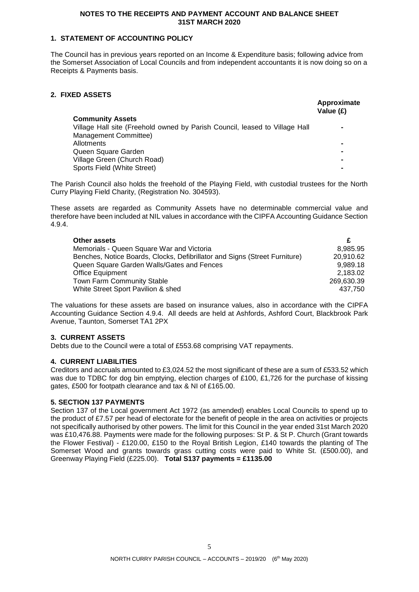#### **NOTES TO THE RECEIPTS AND PAYMENT ACCOUNT AND BALANCE SHEET 31ST MARCH 2020**

## **1. STATEMENT OF ACCOUNTING POLICY**

The Council has in previous years reported on an Income & Expenditure basis; following advice from the Somerset Association of Local Councils and from independent accountants it is now doing so on a Receipts & Payments basis.

## **2. FIXED ASSETS**

|                                                                             | Approximate<br>Value (£) |
|-----------------------------------------------------------------------------|--------------------------|
| <b>Community Assets</b>                                                     |                          |
| Village Hall site (Freehold owned by Parish Council, leased to Village Hall |                          |
| Management Committee)                                                       |                          |
| Allotments                                                                  | $\blacksquare$           |
| Queen Square Garden                                                         | ۰                        |
| Village Green (Church Road)                                                 | ۰                        |
| Sports Field (White Street)                                                 |                          |

The Parish Council also holds the freehold of the Playing Field, with custodial trustees for the North Curry Playing Field Charity, (Registration No. 304593).

These assets are regarded as Community Assets have no determinable commercial value and therefore have been included at NIL values in accordance with the CIPFA Accounting Guidance Section 4.9.4.

| <b>Other assets</b>                                                        |            |
|----------------------------------------------------------------------------|------------|
| Memorials - Queen Square War and Victoria                                  | 8.985.95   |
| Benches, Notice Boards, Clocks, Defibrillator and Signs (Street Furniture) | 20,910.62  |
| Queen Square Garden Walls/Gates and Fences                                 | 9.989.18   |
| <b>Office Equipment</b>                                                    | 2.183.02   |
| <b>Town Farm Community Stable</b>                                          | 269,630.39 |
| White Street Sport Pavilion & shed                                         | 437.750    |

The valuations for these assets are based on insurance values, also in accordance with the CIPFA Accounting Guidance Section 4.9.4. All deeds are held at Ashfords, Ashford Court, Blackbrook Park Avenue, Taunton, Somerset TA1 2PX

## **3. CURRENT ASSETS**

Debts due to the Council were a total of £553.68 comprising VAT repayments.

## **4. CURRENT LIABILITIES**

Creditors and accruals amounted to £3,024.52 the most significant of these are a sum of £533.52 which was due to TDBC for dog bin emptying, election charges of £100, £1,726 for the purchase of kissing gates, £500 for footpath clearance and tax & NI of £165.00.

## **5. SECTION 137 PAYMENTS**

Section 137 of the Local government Act 1972 (as amended) enables Local Councils to spend up to the product of £7.57 per head of electorate for the benefit of people in the area on activities or projects not specifically authorised by other powers. The limit for this Council in the year ended 31st March 2020 was £10,476.88. Payments were made for the following purposes: St P. & St P. Church (Grant towards the Flower Festival) - £120.00, £150 to the Royal British Legion, £140 towards the planting of The Somerset Wood and grants towards grass cutting costs were paid to White St. (£500.00), and Greenway Playing Field (£225.00). **Total S137 payments = £1135.00**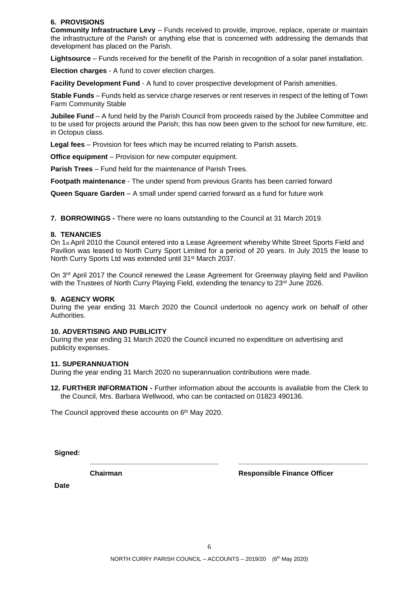## **6. PROVISIONS**

**Community Infrastructure Levy** – Funds received to provide, improve, replace, operate or maintain the infrastructure of the Parish or anything else that is concerned with addressing the demands that development has placed on the Parish.

**Lightsource** – Funds received for the benefit of the Parish in recognition of a solar panel installation.

**Election charges** - A fund to cover election charges.

**Facility Development Fund** - A fund to cover prospective development of Parish amenities.

**Stable Funds** – Funds held as service charge reserves or rent reserves in respect of the letting of Town Farm Community Stable

**Jubilee Fund** – A fund held by the Parish Council from proceeds raised by the Jubilee Committee and to be used for projects around the Parish; this has now been given to the school for new furniture, etc. in Octopus class.

**Legal fees** – Provision for fees which may be incurred relating to Parish assets.

**Office equipment** – Provision for new computer equipment.

**Parish Trees** – Fund held for the maintenance of Parish Trees.

**Footpath maintenance** - The under spend from previous Grants has been carried forward

**Queen Square Garden** – A small under spend carried forward as a fund for future work

**7. BORROWINGS -** There were no loans outstanding to the Council at 31 March 2019.

#### **8. TENANCIES**

On 1<sub>st</sub> April 2010 the Council entered into a Lease Agreement whereby White Street Sports Field and Pavilion was leased to North Curry Sport Limited for a period of 20 years. In July 2015 the lease to North Curry Sports Ltd was extended until 31st March 2037.

On 3<sup>rd</sup> April 2017 the Council renewed the Lease Agreement for Greenway playing field and Pavilion with the Trustees of North Curry Playing Field, extending the tenancy to 23<sup>rd</sup> June 2026.

#### **9. AGENCY WORK**

During the year ending 31 March 2020 the Council undertook no agency work on behalf of other Authorities.

#### **10. ADVERTISING AND PUBLICITY**

During the year ending 31 March 2020 the Council incurred no expenditure on advertising and publicity expenses.

#### **11. SUPERANNUATION**

During the year ending 31 March 2020 no superannuation contributions were made.

**12. FURTHER INFORMATION -** Further information about the accounts is available from the Clerk to the Council, Mrs. Barbara Wellwood, who can be contacted on 01823 490136.

**\_\_\_\_\_\_\_\_\_\_\_\_\_\_\_\_\_\_\_\_\_\_\_\_\_\_\_\_\_\_\_\_\_ \_\_\_\_\_\_\_\_\_\_\_\_\_\_\_\_\_\_\_\_\_\_\_\_\_\_\_\_\_\_\_\_\_**

The Council approved these accounts on 6<sup>th</sup> May 2020.

**Signed:**

**Chairman Responsible Finance Officer**

**Date**